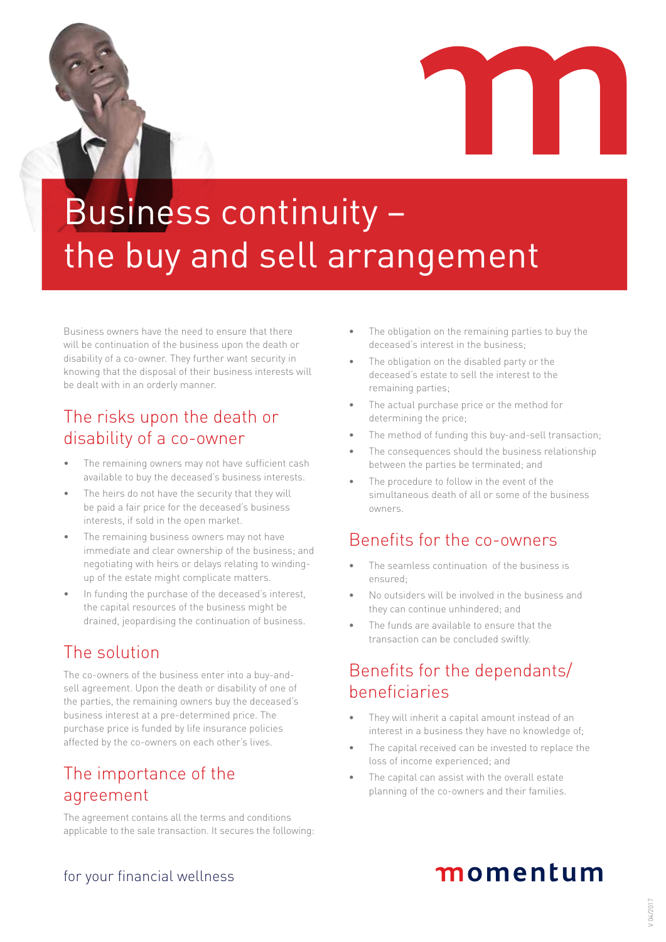



# Business continuity – the buy and sell arrangement

Business owners have the need to ensure that there will be continuation of the business upon the death or disability of a co-owner. They further want security in knowing that the disposal of their business interests will be dealt with in an orderly manner.

## The risks upon the death or disability of a co-owner

- The remaining owners may not have sufficient cash available to buy the deceased's business interests.
- The heirs do not have the security that they will be paid a fair price for the deceased's business interests, if sold in the open market.
- The remaining business owners may not have immediate and clear ownership of the business; and negotiating with heirs or delays relating to windingup of the estate might complicate matters.
- In funding the purchase of the deceased's interest, the capital resources of the business might be drained, jeopardising the continuation of business.

# The solution

The co-owners of the business enter into a buy-andsell agreement. Upon the death or disability of one of the parties, the remaining owners buy the deceased's business interest at a pre-determined price. The purchase price is funded by life insurance policies affected by the co-owners on each other's lives.

# The importance of the agreement

The agreement contains all the terms and conditions applicable to the sale transaction. It secures the following:

- The obligation on the remaining parties to buy the deceased's interest in the business;
- The obligation on the disabled party or the deceased's estate to sell the interest to the remaining parties;
- The actual purchase price or the method for determining the price;
- The method of funding this buy-and-sell transaction;
- The consequences should the business relationship between the parties be terminated; and
- The procedure to follow in the event of the simultaneous death of all or some of the business owners.

## Benefits for the co-owners

- The seamless continuation of the business is ensured;
- No outsiders will be involved in the business and they can continue unhindered; and
- The funds are available to ensure that the transaction can be concluded swiftly.

# Benefits for the dependants/ beneficiaries

- They will inherit a capital amount instead of an interest in a business they have no knowledge of;
- The capital received can be invested to replace the loss of income experienced; and
- The capital can assist with the overall estate planning of the co-owners and their families.

# momentum

### for your financial wellness

# $' 04/201$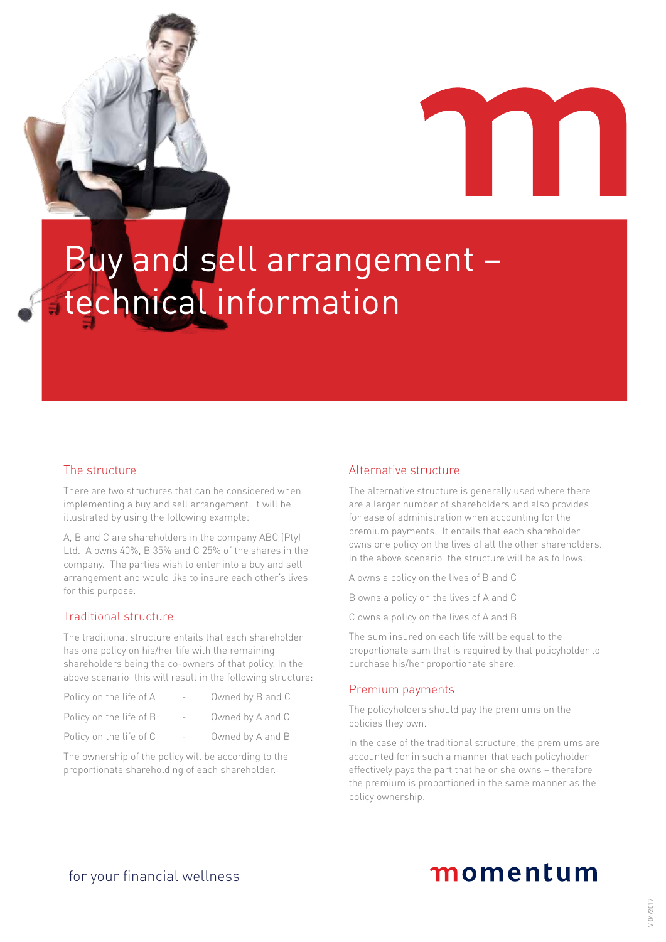



# Buy and sell arrangement – technical information

### The structure

There are two structures that can be considered when implementing a buy and sell arrangement. It will be illustrated by using the following example:

A, B and C are shareholders in the company ABC (Pty) Ltd. A owns 40%, B 35% and C 25% of the shares in the company. The parties wish to enter into a buy and sell arrangement and would like to insure each other's lives for this purpose.

### Traditional structure

The traditional structure entails that each shareholder has one policy on his/her life with the remaining shareholders being the co-owners of that policy. In the above scenario this will result in the following structure:

| Policy on the life of A |                          | Owned by B and C |
|-------------------------|--------------------------|------------------|
| Policy on the life of B |                          | Owned by A and C |
| Policy on the life of C | $\overline{\phantom{0}}$ | Owned by A and B |

The ownership of the policy will be according to the proportionate shareholding of each shareholder.

#### Alternative structure

The alternative structure is generally used where there are a larger number of shareholders and also provides for ease of administration when accounting for the premium payments. It entails that each shareholder owns one policy on the lives of all the other shareholders. In the above scenario the structure will be as follows:

A owns a policy on the lives of B and C

B owns a policy on the lives of A and C

C owns a policy on the lives of A and B

The sum insured on each life will be equal to the proportionate sum that is required by that policyholder to purchase his/her proportionate share.

### Premium payments

The policyholders should pay the premiums on the policies they own.

In the case of the traditional structure, the premiums are accounted for in such a manner that each policyholder effectively pays the part that he or she owns – therefore the premium is proportioned in the same manner as the policy ownership.

# momentum